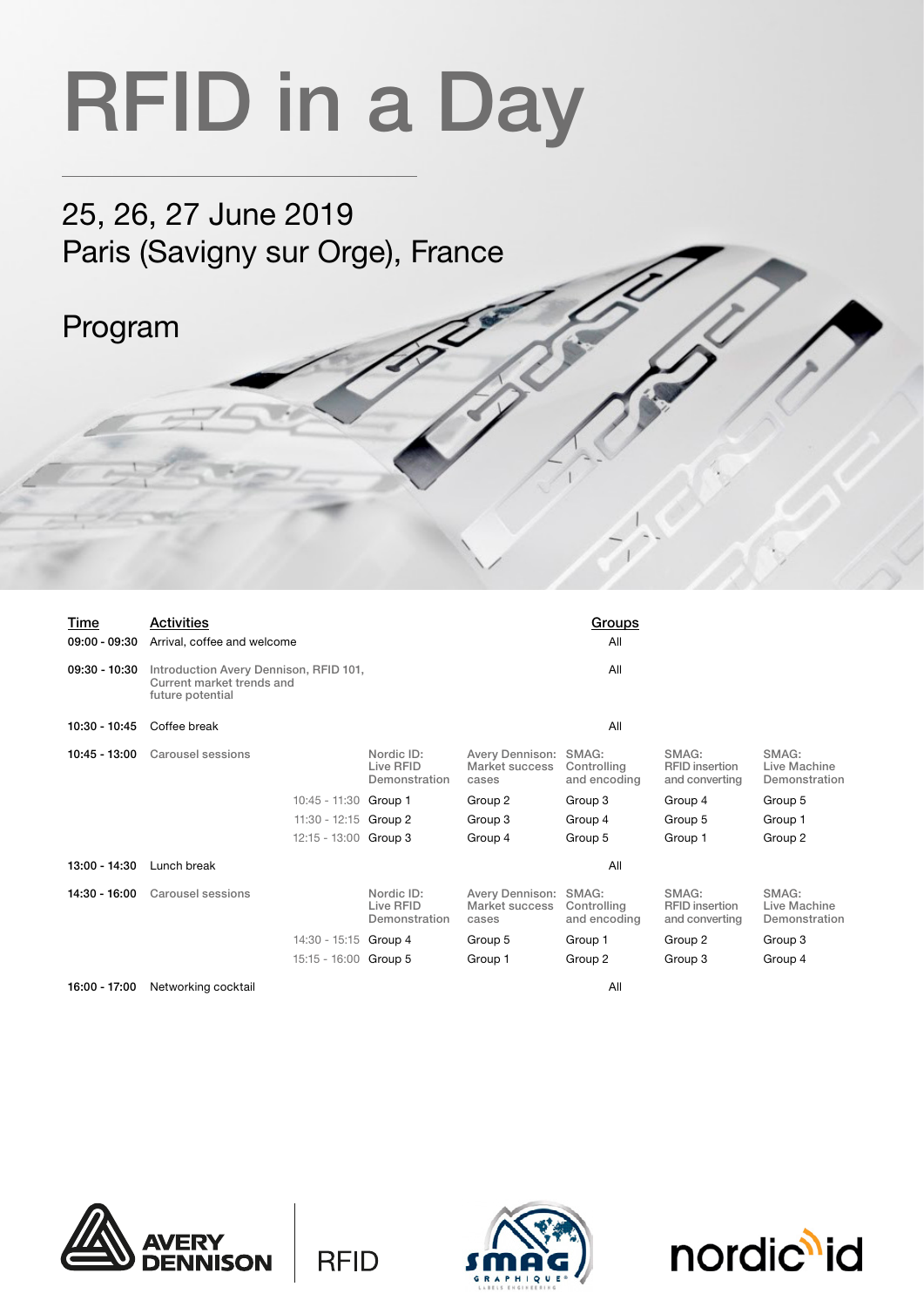## RFID in a Day

25, 26, 27 June 2019 Paris (Savigny sur Orge), France

## Program

| Time<br>$09:00 - 09:30$ | Activities<br>Arrival, coffee and welcome                                               |                                          |                                                  | Groups<br>All                        |                                                  |                                        |
|-------------------------|-----------------------------------------------------------------------------------------|------------------------------------------|--------------------------------------------------|--------------------------------------|--------------------------------------------------|----------------------------------------|
| 09:30 - 10:30           | Introduction Avery Dennison, RFID 101,<br>Current market trends and<br>future potential |                                          |                                                  | All                                  |                                                  |                                        |
| 10:30 - 10:45           | Coffee break                                                                            | All                                      |                                                  |                                      |                                                  |                                        |
| $10:45 - 13:00$         | Carousel sessions                                                                       | Nordic ID:<br>Live RFID<br>Demonstration | Avery Dennison:<br>Market success<br>cases       | SMAG:<br>Controlling<br>and encoding | SMAG:<br><b>RFID</b> insertion<br>and converting | SMAG:<br>Live Machine<br>Demonstration |
|                         | 10:45 - 11:30 Group 1                                                                   |                                          | Group 2                                          | Group 3                              | Group 4                                          | Group 5                                |
|                         | 11:30 - 12:15 Group 2                                                                   |                                          | Group 3                                          | Group 4                              | Group 5                                          | Group 1                                |
|                         | 12:15 - 13:00 Group 3                                                                   |                                          | Group 4                                          | Group 5                              | Group 1                                          | Group 2                                |
| 13:00 - 14:30           | Lunch break                                                                             |                                          |                                                  | All                                  |                                                  |                                        |
| 14:30 - 16:00           | Carousel sessions                                                                       | Nordic ID:<br>Live RFID<br>Demonstration | Avery Dennison: SMAG:<br>Market success<br>cases | Controlling<br>and encoding          | SMAG:<br><b>RFID</b> insertion<br>and converting | SMAG:<br>Live Machine<br>Demonstration |
|                         | 14:30 - 15:15                                                                           | Group 4                                  | Group 5                                          | Group 1                              | Group 2                                          | Group 3                                |
|                         | 15:15 - 16:00 Group 5                                                                   |                                          | Group 1                                          | Group 2                              | Group 3                                          | Group 4                                |
| 16:00 - 17:00           | Networking cocktail                                                                     |                                          |                                                  | All                                  |                                                  |                                        |



**RFID**